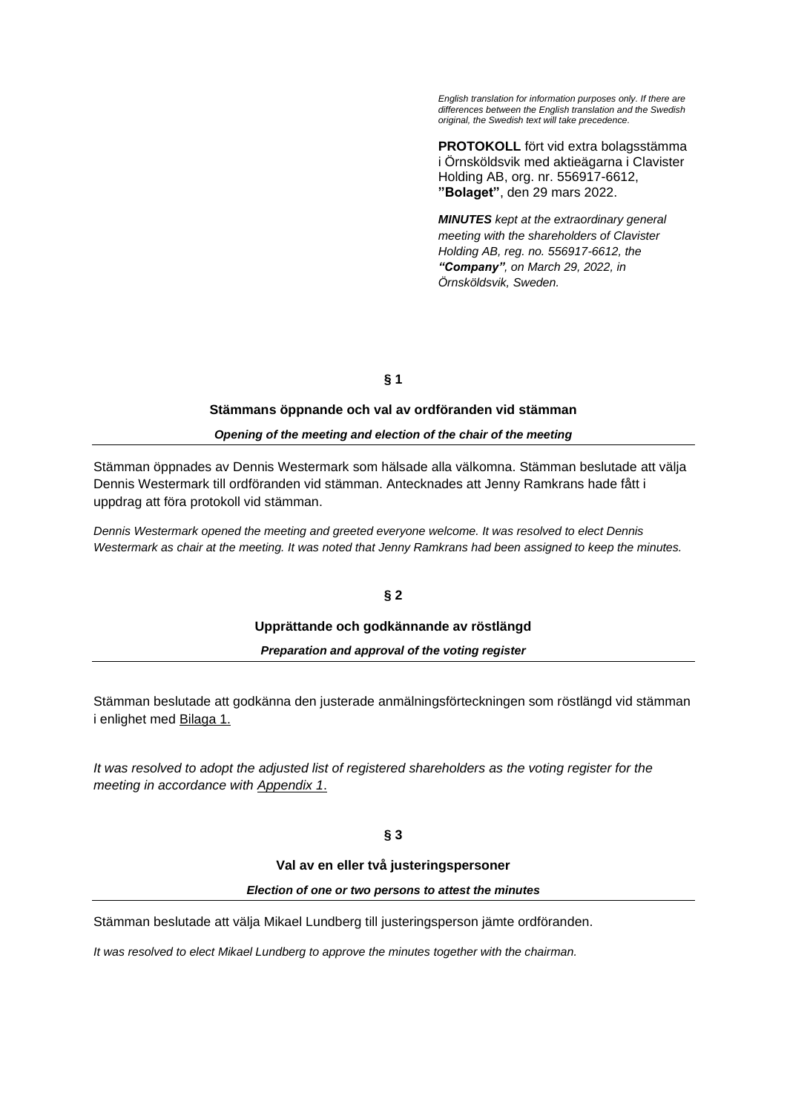*English translation for information purposes only. If there are differences between the English translation and the Swedish original, the Swedish text will take precedence.*

**PROTOKOLL** fört vid extra bolagsstämma i Örnsköldsvik med aktieägarna i Clavister Holding AB, org. nr. 556917-6612, **"Bolaget"**, den 29 mars 2022.

*MINUTES kept at the extraordinary general meeting with the shareholders of Clavister Holding AB, reg. no. 556917-6612, the "Company", on March 29, 2022, in Örnsköldsvik, Sweden.*

**§ 1**

## **Stämmans öppnande och val av ordföranden vid stämman**

## *Opening of the meeting and election of the chair of the meeting*

Stämman öppnades av Dennis Westermark som hälsade alla välkomna. Stämman beslutade att välja Dennis Westermark till ordföranden vid stämman. Antecknades att Jenny Ramkrans hade fått i uppdrag att föra protokoll vid stämman.

*Dennis Westermark opened the meeting and greeted everyone welcome. It was resolved to elect Dennis Westermark as chair at the meeting. It was noted that Jenny Ramkrans had been assigned to keep the minutes.*

# **§ 2**

### **Upprättande och godkännande av röstlängd**

*Preparation and approval of the voting register*

Stämman beslutade att godkänna den justerade anmälningsförteckningen som röstlängd vid stämman i enlighet med Bilaga 1.

*It was resolved to adopt the adjusted list of registered shareholders as the voting register for the meeting in accordance with Appendix 1*.

## **§ 3**

### **Val av en eller två justeringspersoner**

#### *Election of one or two persons to attest the minutes*

Stämman beslutade att välja Mikael Lundberg till justeringsperson jämte ordföranden.

*It was resolved to elect Mikael Lundberg to approve the minutes together with the chairman.*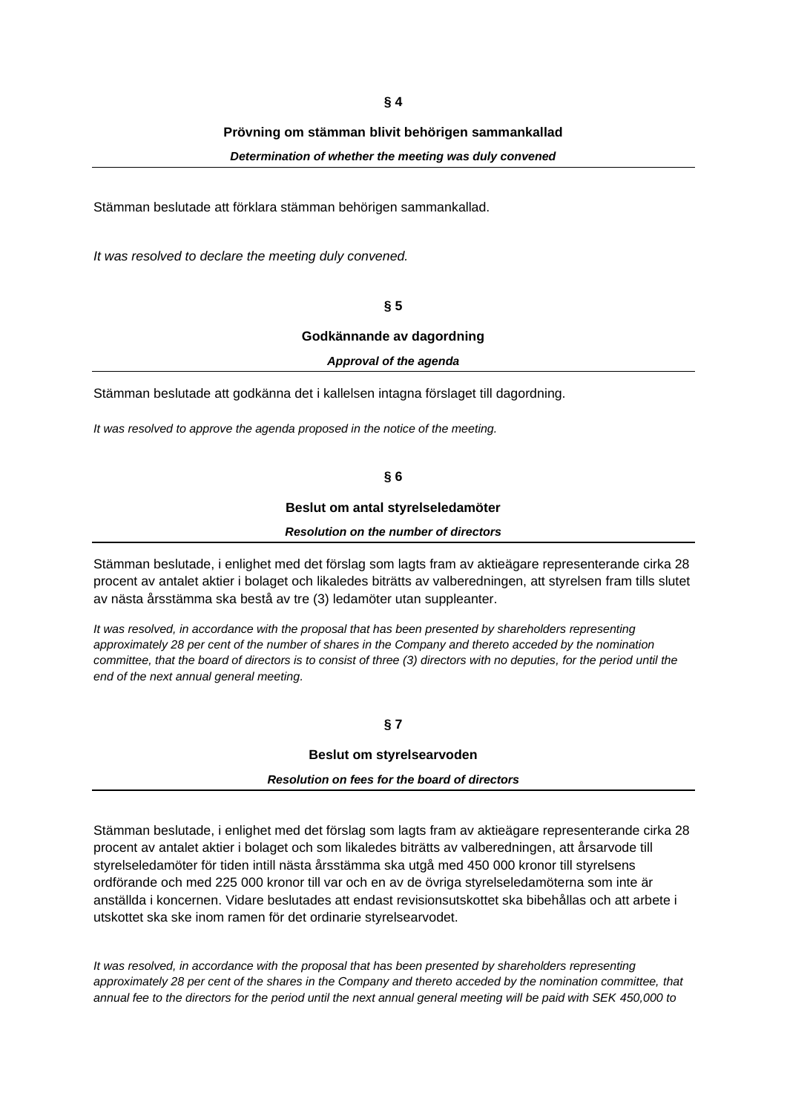**§ 4**

### **Prövning om stämman blivit behörigen sammankallad**

*Determination of whether the meeting was duly convened*

Stämman beslutade att förklara stämman behörigen sammankallad.

*It was resolved to declare the meeting duly convened.*

**§ 5**

### **Godkännande av dagordning**

#### *Approval of the agenda*

Stämman beslutade att godkänna det i kallelsen intagna förslaget till dagordning.

*It was resolved to approve the agenda proposed in the notice of the meeting.*

**§ 6**

#### **Beslut om antal styrelseledamöter**

## *Resolution on the number of directors*

Stämman beslutade, i enlighet med det förslag som lagts fram av aktieägare representerande cirka 28 procent av antalet aktier i bolaget och likaledes biträtts av valberedningen, att styrelsen fram tills slutet av nästa årsstämma ska bestå av tre (3) ledamöter utan suppleanter.

*It was resolved, in accordance with the proposal that has been presented by shareholders representing approximately 28 per cent of the number of shares in the Company and thereto acceded by the nomination committee, that the board of directors is to consist of three (3) directors with no deputies, for the period until the end of the next annual general meeting.*

**§ 7**

### **Beslut om styrelsearvoden**

## *Resolution on fees for the board of directors*

Stämman beslutade, i enlighet med det förslag som lagts fram av aktieägare representerande cirka 28 procent av antalet aktier i bolaget och som likaledes biträtts av valberedningen, att årsarvode till styrelseledamöter för tiden intill nästa årsstämma ska utgå med 450 000 kronor till styrelsens ordförande och med 225 000 kronor till var och en av de övriga styrelseledamöterna som inte är anställda i koncernen. Vidare beslutades att endast revisionsutskottet ska bibehållas och att arbete i utskottet ska ske inom ramen för det ordinarie styrelsearvodet.

*It was resolved, in accordance with the proposal that has been presented by shareholders representing approximately 28 per cent of the shares in the Company and thereto acceded by the nomination committee, that annual fee to the directors for the period until the next annual general meeting will be paid with SEK 450,000 to*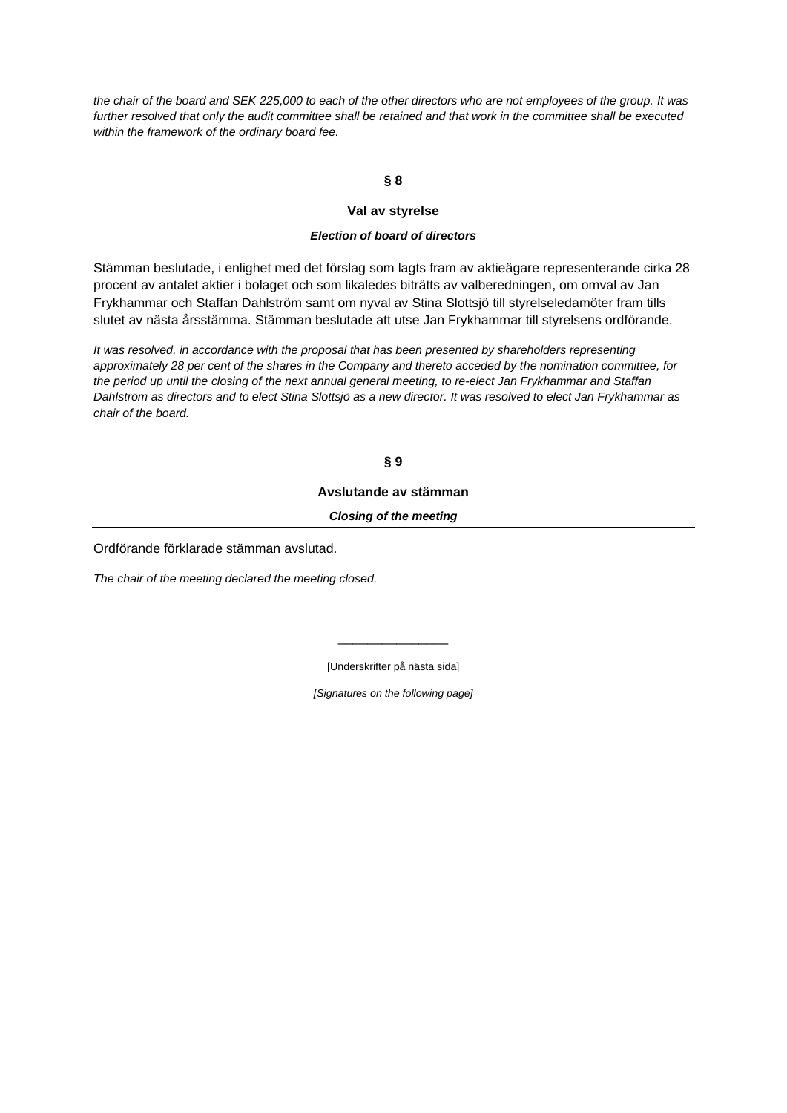*the chair of the board and SEK 225,000 to each of the other directors who are not employees of the group. It was further resolved that only the audit committee shall be retained and that work in the committee shall be executed within the framework of the ordinary board fee.* 

## **§ 8**

## **Val av styrelse**

# *Election of board of directors*

Stämman beslutade, i enlighet med det förslag som lagts fram av aktieägare representerande cirka 28 procent av antalet aktier i bolaget och som likaledes biträtts av valberedningen, om omval av Jan Frykhammar och Staffan Dahlström samt om nyval av Stina Slottsjö till styrelseledamöter fram tills slutet av nästa årsstämma. Stämman beslutade att utse Jan Frykhammar till styrelsens ordförande.

*It was resolved, in accordance with the proposal that has been presented by shareholders representing approximately 28 per cent of the shares in the Company and thereto acceded by the nomination committee, for the period up until the closing of the next annual general meeting, to re-elect Jan Frykhammar and Staffan Dahlström as directors and to elect Stina Slottsjö as a new director. It was resolved to elect Jan Frykhammar as chair of the board.* 

## **§ 9**

### **Avslutande av stämman**

*Closing of the meeting*

Ordförande förklarade stämman avslutad.

*The chair of the meeting declared the meeting closed.*

[Underskrifter på nästa sida]

\_\_\_\_\_\_\_\_\_\_\_\_\_\_\_

*[Signatures on the following page]*